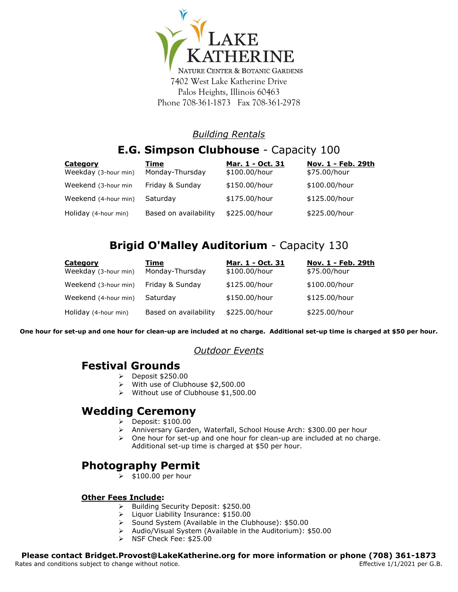

7402 West Lake Katherine Drive Palos Heights, Illinois 60463 Phone 708-361-1873 Fax 708-361-2978

## *Building Rentals*

# **E.G. Simpson Clubhouse** - Capacity 100

| <b>Category</b>      | Time                  | Mar. 1 - Oct. 31 | Nov. 1 - Feb. 29th |
|----------------------|-----------------------|------------------|--------------------|
| Weekday (3-hour min) | Monday-Thursday       | \$100.00/hour    | \$75.00/hour       |
| Weekend (3-hour min  | Friday & Sunday       | \$150.00/hour    | \$100.00/hour      |
| Weekend (4-hour min) | Saturday              | \$175.00/hour    | \$125.00/hour      |
| Holiday (4-hour min) | Based on availability | \$225.00/hour    | \$225.00/hour      |

# **Brigid O'Malley Auditorium** - Capacity 130

| <b>Category</b>      | Time                  | Mar. 1 - Oct. 31 | <u> Nov. 1 - Feb. 29th</u> |
|----------------------|-----------------------|------------------|----------------------------|
| Weekday (3-hour min) | Monday-Thursday       | \$100.00/hour    | \$75.00/hour               |
| Weekend (3-hour min) | Friday & Sunday       | \$125.00/hour    | \$100.00/hour              |
| Weekend (4-hour min) | Saturday              | \$150.00/hour    | \$125.00/hour              |
| Holiday (4-hour min) | Based on availability | \$225.00/hour    | \$225.00/hour              |

**One hour for set-up and one hour for clean-up are included at no charge. Additional set-up time is charged at \$50 per hour.**

### *Outdoor Events*

## **Festival Grounds**

- $\triangleright$  Deposit \$250.00
- With use of Clubhouse \$2,500.00
- Without use of Clubhouse \$1,500.00

## **Wedding Ceremony**

- $\geqslant$  Deposit: \$100.00<br> $\geqslant$  Anniversary Garde
- Anniversary Garden, Waterfall, School House Arch: \$300.00 per hour
- $\geq$  One hour for set-up and one hour for clean-up are included at no charge. Additional set-up time is charged at \$50 per hour.

## **Photography Permit**

 $\geqslant$  \$100.00 per hour

#### **Other Fees Include:**

- > Building Security Deposit: \$250.00
- > Liquor Liability Insurance: \$150.00
- ▶ Sound System (Available in the Clubhouse): \$50.00
- Audio/Visual System (Available in the Auditorium): \$50.00
- $\triangleright$  NSF Check Fee: \$25.00

#### **Please contact Bridget.Provost@LakeKatherine.org for more information or phone (708) 361-1873**